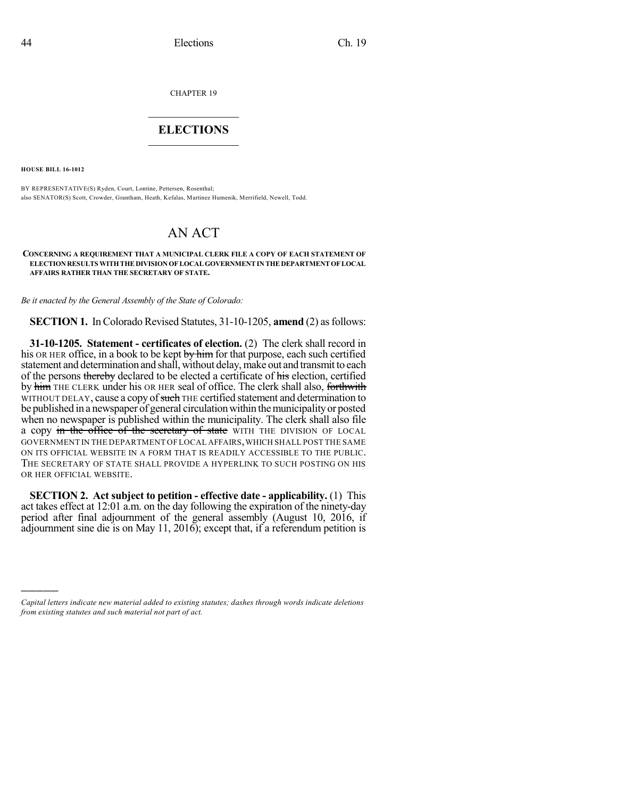CHAPTER 19

## $\overline{\phantom{a}}$  . The set of the set of the set of the set of the set of the set of the set of the set of the set of the set of the set of the set of the set of the set of the set of the set of the set of the set of the set o **ELECTIONS**  $\_$

**HOUSE BILL 16-1012**

)))))

BY REPRESENTATIVE(S) Ryden, Court, Lontine, Pettersen, Rosenthal; also SENATOR(S) Scott, Crowder, Grantham, Heath, Kefalas, Martinez Humenik, Merrifield, Newell, Todd.

## AN ACT

## **CONCERNING A REQUIREMENT THAT A MUNICIPAL CLERK FILE A COPY OF EACH STATEMENT OF ELECTIONRESULTS WITHTHEDIVISIONOFLOCALGOVERNMENTINTHEDEPARTMENTOFLOCAL AFFAIRS RATHER THAN THE SECRETARY OF STATE.**

*Be it enacted by the General Assembly of the State of Colorado:*

**SECTION 1.** In Colorado Revised Statutes, 31-10-1205, **amend** (2) as follows:

**31-10-1205. Statement - certificates of election.** (2) The clerk shall record in his OR HER office, in a book to be kept by him for that purpose, each such certified statement and determination and shall, without delay, make out and transmit to each of the persons thereby declared to be elected a certificate of his election, certified by him THE CLERK under his OR HER seal of office. The clerk shall also, forthwith WITHOUT DELAY, cause a copy of such THE certified statement and determination to be published in a newspaper of general circulation within the municipality or posted when no newspaper is published within the municipality. The clerk shall also file a copy in the office of the secretary of state WITH THE DIVISION OF LOCAL GOVERNMENT IN THE DEPARTMENT OF LOCAL AFFAIRS,WHICH SHALL POST THE SAME ON ITS OFFICIAL WEBSITE IN A FORM THAT IS READILY ACCESSIBLE TO THE PUBLIC. THE SECRETARY OF STATE SHALL PROVIDE A HYPERLINK TO SUCH POSTING ON HIS OR HER OFFICIAL WEBSITE.

**SECTION 2. Act subject to petition - effective date - applicability.** (1) This act takes effect at 12:01 a.m. on the day following the expiration of the ninety-day period after final adjournment of the general assembly (August 10, 2016, if adjournment sine die is on May 11, 2016); except that, if a referendum petition is

*Capital letters indicate new material added to existing statutes; dashes through words indicate deletions from existing statutes and such material not part of act.*